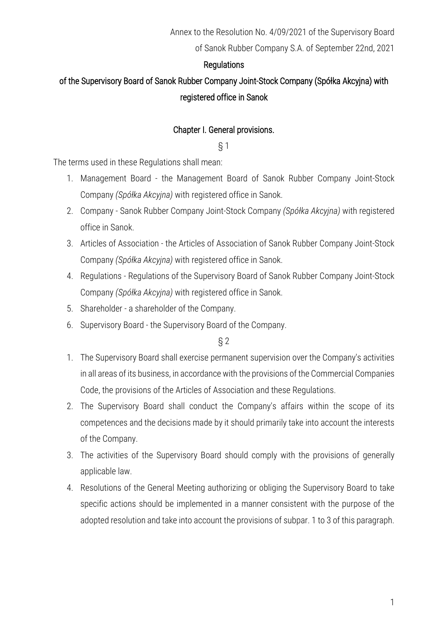#### **Regulations**

# of the Supervisory Board of Sanok Rubber Company Joint-Stock Company (Spółka Akcyjna) with registered office in Sanok

#### Chapter I. General provisions.

#### § 1

The terms used in these Regulations shall mean:

- 1. Management Board the Management Board of Sanok Rubber Company Joint-Stock Company *(Spółka Akcyjna)* with registered office in Sanok.
- 2. Company Sanok Rubber Company Joint-Stock Company *(Spółka Akcyjna)* with registered office in Sanok.
- 3. Articles of Association the Articles of Association of Sanok Rubber Company Joint-Stock Company *(Spółka Akcyjna)* with registered office in Sanok.
- 4. Regulations Regulations of the Supervisory Board of Sanok Rubber Company Joint-Stock Company *(Spółka Akcyjna)* with registered office in Sanok.
- 5. Shareholder a shareholder of the Company.
- 6. Supervisory Board the Supervisory Board of the Company.

- 1. The Supervisory Board shall exercise permanent supervision over the Company's activities in all areas of its business, in accordance with the provisions of the Commercial Companies Code, the provisions of the Articles of Association and these Regulations.
- 2. The Supervisory Board shall conduct the Company's affairs within the scope of its competences and the decisions made by it should primarily take into account the interests of the Company.
- 3. The activities of the Supervisory Board should comply with the provisions of generally applicable law.
- 4. Resolutions of the General Meeting authorizing or obliging the Supervisory Board to take specific actions should be implemented in a manner consistent with the purpose of the adopted resolution and take into account the provisions of subpar. 1 to 3 of this paragraph.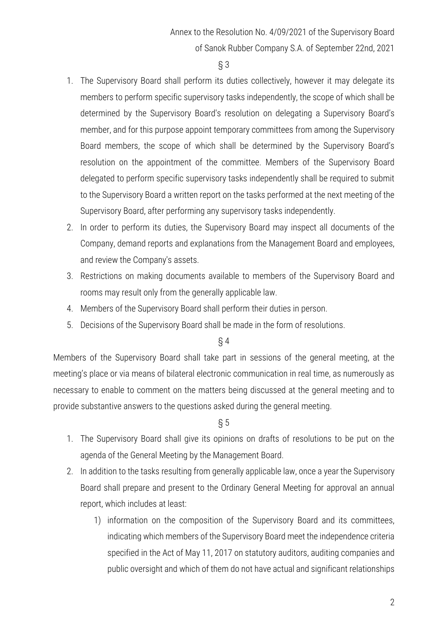- 1. The Supervisory Board shall perform its duties collectively, however it may delegate its members to perform specific supervisory tasks independently, the scope of which shall be determined by the Supervisory Board's resolution on delegating a Supervisory Board's member, and for this purpose appoint temporary committees from among the Supervisory Board members, the scope of which shall be determined by the Supervisory Board's resolution on the appointment of the committee. Members of the Supervisory Board delegated to perform specific supervisory tasks independently shall be required to submit to the Supervisory Board a written report on the tasks performed at the next meeting of the Supervisory Board, after performing any supervisory tasks independently.
- 2. In order to perform its duties, the Supervisory Board may inspect all documents of the Company, demand reports and explanations from the Management Board and employees, and review the Company's assets.
- 3. Restrictions on making documents available to members of the Supervisory Board and rooms may result only from the generally applicable law.
- 4. Members of the Supervisory Board shall perform their duties in person.
- 5. Decisions of the Supervisory Board shall be made in the form of resolutions.

## § 4

Members of the Supervisory Board shall take part in sessions of the general meeting, at the meeting's place or via means of bilateral electronic communication in real time, as numerously as necessary to enable to comment on the matters being discussed at the general meeting and to provide substantive answers to the questions asked during the general meeting.

- 1. The Supervisory Board shall give its opinions on drafts of resolutions to be put on the agenda of the General Meeting by the Management Board.
- 2. In addition to the tasks resulting from generally applicable law, once a year the Supervisory Board shall prepare and present to the Ordinary General Meeting for approval an annual report, which includes at least:
	- 1) information on the composition of the Supervisory Board and its committees, indicating which members of the Supervisory Board meet the independence criteria specified in the Act of May 11, 2017 on statutory auditors, auditing companies and public oversight and which of them do not have actual and significant relationships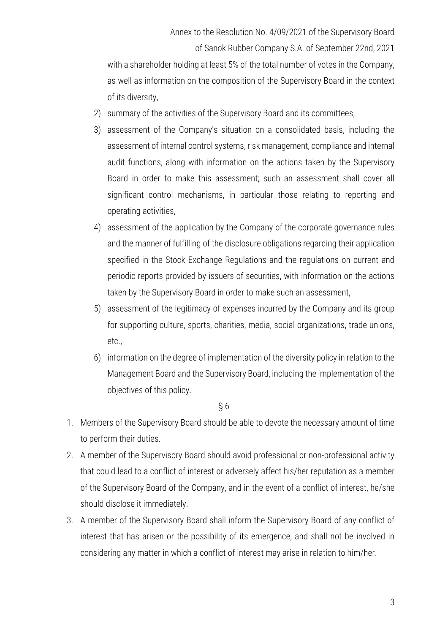with a shareholder holding at least 5% of the total number of votes in the Company, as well as information on the composition of the Supervisory Board in the context of its diversity,

- 2) summary of the activities of the Supervisory Board and its committees,
- 3) assessment of the Company's situation on a consolidated basis, including the assessment of internal control systems, risk management, compliance and internal audit functions, along with information on the actions taken by the Supervisory Board in order to make this assessment; such an assessment shall cover all significant control mechanisms, in particular those relating to reporting and operating activities,
- 4) assessment of the application by the Company of the corporate governance rules and the manner of fulfilling of the disclosure obligations regarding their application specified in the Stock Exchange Regulations and the regulations on current and periodic reports provided by issuers of securities, with information on the actions taken by the Supervisory Board in order to make such an assessment,
- 5) assessment of the legitimacy of expenses incurred by the Company and its group for supporting culture, sports, charities, media, social organizations, trade unions, etc.,
- 6) information on the degree of implementation of the diversity policy in relation to the Management Board and the Supervisory Board, including the implementation of the objectives of this policy.

- 1. Members of the Supervisory Board should be able to devote the necessary amount of time to perform their duties.
- 2. A member of the Supervisory Board should avoid professional or non-professional activity that could lead to a conflict of interest or adversely affect his/her reputation as a member of the Supervisory Board of the Company, and in the event of a conflict of interest, he/she should disclose it immediately.
- 3. A member of the Supervisory Board shall inform the Supervisory Board of any conflict of interest that has arisen or the possibility of its emergence, and shall not be involved in considering any matter in which a conflict of interest may arise in relation to him/her.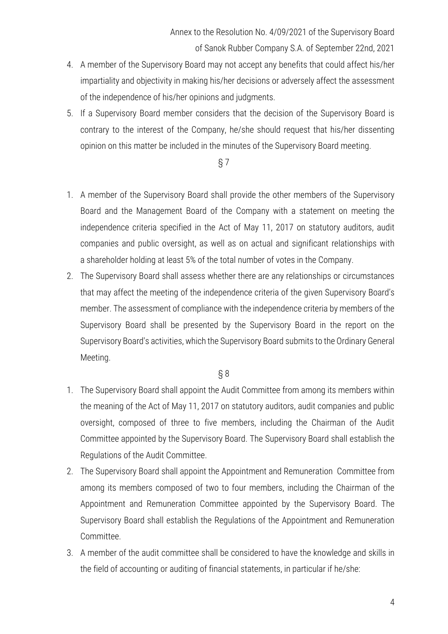- 4. A member of the Supervisory Board may not accept any benefits that could affect his/her impartiality and objectivity in making his/her decisions or adversely affect the assessment of the independence of his/her opinions and judgments.
- 5. If a Supervisory Board member considers that the decision of the Supervisory Board is contrary to the interest of the Company, he/she should request that his/her dissenting opinion on this matter be included in the minutes of the Supervisory Board meeting.

- 1. A member of the Supervisory Board shall provide the other members of the Supervisory Board and the Management Board of the Company with a statement on meeting the independence criteria specified in the Act of May 11, 2017 on statutory auditors, audit companies and public oversight, as well as on actual and significant relationships with a shareholder holding at least 5% of the total number of votes in the Company.
- 2. The Supervisory Board shall assess whether there are any relationships or circumstances that may affect the meeting of the independence criteria of the given Supervisory Board's member. The assessment of compliance with the independence criteria by members of the Supervisory Board shall be presented by the Supervisory Board in the report on the Supervisory Board's activities, which the Supervisory Board submits to the Ordinary General Meeting.

- 1. The Supervisory Board shall appoint the Audit Committee from among its members within the meaning of the Act of May 11, 2017 on statutory auditors, audit companies and public oversight, composed of three to five members, including the Chairman of the Audit Committee appointed by the Supervisory Board. The Supervisory Board shall establish the Regulations of the Audit Committee.
- 2. The Supervisory Board shall appoint the Appointment and Remuneration Committee from among its members composed of two to four members, including the Chairman of the Appointment and Remuneration Committee appointed by the Supervisory Board. The Supervisory Board shall establish the Regulations of the Appointment and Remuneration Committee.
- 3. A member of the audit committee shall be considered to have the knowledge and skills in the field of accounting or auditing of financial statements, in particular if he/she: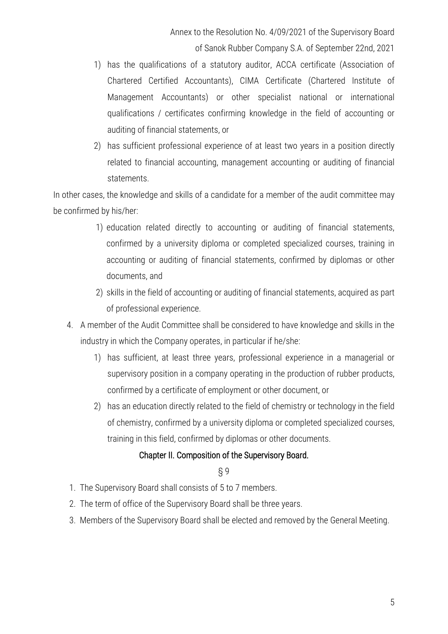- 1) has the qualifications of a statutory auditor, ACCA certificate (Association of Chartered Certified Accountants), CIMA Certificate (Chartered Institute of Management Accountants) or other specialist national or international qualifications / certificates confirming knowledge in the field of accounting or auditing of financial statements, or
- 2) has sufficient professional experience of at least two years in a position directly related to financial accounting, management accounting or auditing of financial statements.

In other cases, the knowledge and skills of a candidate for a member of the audit committee may be confirmed by his/her:

- 1) education related directly to accounting or auditing of financial statements, confirmed by a university diploma or completed specialized courses, training in accounting or auditing of financial statements, confirmed by diplomas or other documents, and
- 2) skills in the field of accounting or auditing of financial statements, acquired as part of professional experience.
- 4. A member of the Audit Committee shall be considered to have knowledge and skills in the industry in which the Company operates, in particular if he/she:
	- 1) has sufficient, at least three years, professional experience in a managerial or supervisory position in a company operating in the production of rubber products, confirmed by a certificate of employment or other document, or
	- 2) has an education directly related to the field of chemistry or technology in the field of chemistry, confirmed by a university diploma or completed specialized courses, training in this field, confirmed by diplomas or other documents.

## Chapter II. Composition of the Supervisory Board.

- 1. The Supervisory Board shall consists of 5 to 7 members.
- 2. The term of office of the Supervisory Board shall be three years.
- 3. Members of the Supervisory Board shall be elected and removed by the General Meeting.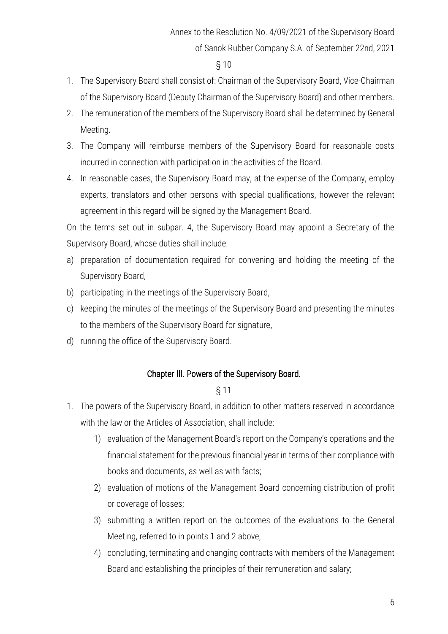- 1. The Supervisory Board shall consist of: Chairman of the Supervisory Board, Vice-Chairman of the Supervisory Board (Deputy Chairman of the Supervisory Board) and other members.
- 2. The remuneration of the members of the Supervisory Board shall be determined by General Meeting.
- 3. The Company will reimburse members of the Supervisory Board for reasonable costs incurred in connection with participation in the activities of the Board.
- 4. In reasonable cases, the Supervisory Board may, at the expense of the Company, employ experts, translators and other persons with special qualifications, however the relevant agreement in this regard will be signed by the Management Board.

On the terms set out in subpar. 4, the Supervisory Board may appoint a Secretary of the Supervisory Board, whose duties shall include:

- a) preparation of documentation required for convening and holding the meeting of the Supervisory Board,
- b) participating in the meetings of the Supervisory Board,
- c) keeping the minutes of the meetings of the Supervisory Board and presenting the minutes to the members of the Supervisory Board for signature,
- d) running the office of the Supervisory Board.

## Chapter III. Powers of the Supervisory Board.

- 1. The powers of the Supervisory Board, in addition to other matters reserved in accordance with the law or the Articles of Association, shall include:
	- 1) evaluation of the Management Board's report on the Company's operations and the financial statement for the previous financial year in terms of their compliance with books and documents, as well as with facts;
	- 2) evaluation of motions of the Management Board concerning distribution of profit or coverage of losses;
	- 3) submitting a written report on the outcomes of the evaluations to the General Meeting, referred to in points 1 and 2 above;
	- 4) concluding, terminating and changing contracts with members of the Management Board and establishing the principles of their remuneration and salary;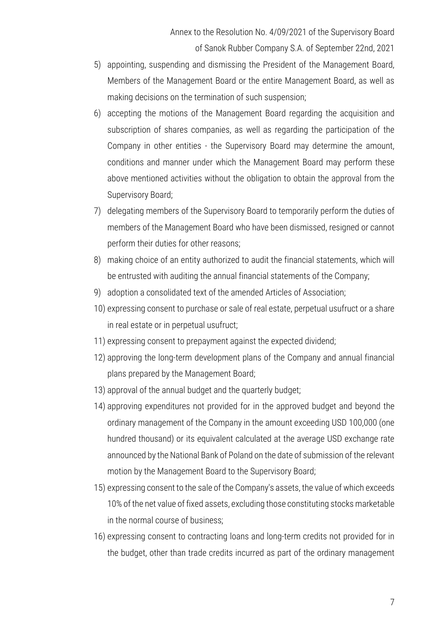- 5) appointing, suspending and dismissing the President of the Management Board, Members of the Management Board or the entire Management Board, as well as making decisions on the termination of such suspension;
- 6) accepting the motions of the Management Board regarding the acquisition and subscription of shares companies, as well as regarding the participation of the Company in other entities - the Supervisory Board may determine the amount, conditions and manner under which the Management Board may perform these above mentioned activities without the obligation to obtain the approval from the Supervisory Board;
- 7) delegating members of the Supervisory Board to temporarily perform the duties of members of the Management Board who have been dismissed, resigned or cannot perform their duties for other reasons;
- 8) making choice of an entity authorized to audit the financial statements, which will be entrusted with auditing the annual financial statements of the Company;
- 9) adoption a consolidated text of the amended Articles of Association;
- 10) expressing consent to purchase or sale of real estate, perpetual usufruct or a share in real estate or in perpetual usufruct;
- 11) expressing consent to prepayment against the expected dividend;
- 12) approving the long-term development plans of the Company and annual financial plans prepared by the Management Board;
- 13) approval of the annual budget and the quarterly budget;
- 14) approving expenditures not provided for in the approved budget and beyond the ordinary management of the Company in the amount exceeding USD 100,000 (one hundred thousand) or its equivalent calculated at the average USD exchange rate announced by the National Bank of Poland on the date of submission of the relevant motion by the Management Board to the Supervisory Board;
- 15) expressing consent to the sale of the Company's assets, the value of which exceeds 10% of the net value of fixed assets, excluding those constituting stocks marketable in the normal course of business;
- 16) expressing consent to contracting loans and long-term credits not provided for in the budget, other than trade credits incurred as part of the ordinary management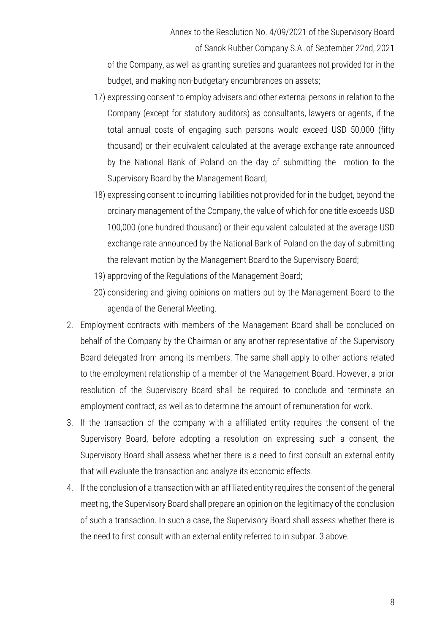of Sanok Rubber Company S.A. of September 22nd, 2021 of the Company, as well as granting sureties and guarantees not provided for in the

budget, and making non-budgetary encumbrances on assets;

- 17) expressing consent to employ advisers and other external persons in relation to the Company (except for statutory auditors) as consultants, lawyers or agents, if the total annual costs of engaging such persons would exceed USD 50,000 (fifty thousand) or their equivalent calculated at the average exchange rate announced by the National Bank of Poland on the day of submitting the motion to the Supervisory Board by the Management Board;
- 18) expressing consent to incurring liabilities not provided for in the budget, beyond the ordinary management of the Company, the value of which for one title exceeds USD 100,000 (one hundred thousand) or their equivalent calculated at the average USD exchange rate announced by the National Bank of Poland on the day of submitting the relevant motion by the Management Board to the Supervisory Board;
- 19) approving of the Regulations of the Management Board;
- 20) considering and giving opinions on matters put by the Management Board to the agenda of the General Meeting.
- 2. Employment contracts with members of the Management Board shall be concluded on behalf of the Company by the Chairman or any another representative of the Supervisory Board delegated from among its members. The same shall apply to other actions related to the employment relationship of a member of the Management Board. However, a prior resolution of the Supervisory Board shall be required to conclude and terminate an employment contract, as well as to determine the amount of remuneration for work.
- 3. If the transaction of the company with a affiliated entity requires the consent of the Supervisory Board, before adopting a resolution on expressing such a consent, the Supervisory Board shall assess whether there is a need to first consult an external entity that will evaluate the transaction and analyze its economic effects.
- 4. If the conclusion of a transaction with an affiliated entity requires the consent of the general meeting, the Supervisory Board shall prepare an opinion on the legitimacy of the conclusion of such a transaction. In such a case, the Supervisory Board shall assess whether there is the need to first consult with an external entity referred to in subpar. 3 above.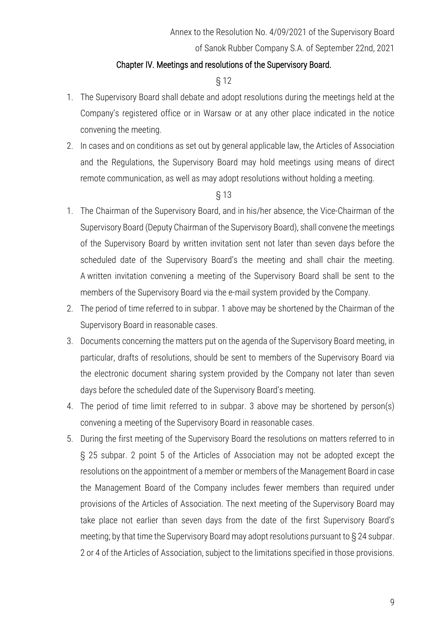#### Chapter IV. Meetings and resolutions of the Supervisory Board.

#### § 12

- 1. The Supervisory Board shall debate and adopt resolutions during the meetings held at the Company's registered office or in Warsaw or at any other place indicated in the notice convening the meeting.
- 2. In cases and on conditions as set out by general applicable law, the Articles of Association and the Regulations, the Supervisory Board may hold meetings using means of direct remote communication, as well as may adopt resolutions without holding a meeting.

- 1. The Chairman of the Supervisory Board, and in his/her absence, the Vice-Chairman of the Supervisory Board (Deputy Chairman of the Supervisory Board), shall convene the meetings of the Supervisory Board by written invitation sent not later than seven days before the scheduled date of the Supervisory Board's the meeting and shall chair the meeting. A written invitation convening a meeting of the Supervisory Board shall be sent to the members of the Supervisory Board via the e-mail system provided by the Company.
- 2. The period of time referred to in subpar. 1 above may be shortened by the Chairman of the Supervisory Board in reasonable cases.
- 3. Documents concerning the matters put on the agenda of the Supervisory Board meeting, in particular, drafts of resolutions, should be sent to members of the Supervisory Board via the electronic document sharing system provided by the Company not later than seven days before the scheduled date of the Supervisory Board's meeting.
- 4. The period of time limit referred to in subpar. 3 above may be shortened by person(s) convening a meeting of the Supervisory Board in reasonable cases.
- 5. During the first meeting of the Supervisory Board the resolutions on matters referred to in § 25 subpar. 2 point 5 of the Articles of Association may not be adopted except the resolutions on the appointment of a member or members of the Management Board in case the Management Board of the Company includes fewer members than required under provisions of the Articles of Association. The next meeting of the Supervisory Board may take place not earlier than seven days from the date of the first Supervisory Board's meeting; by that time the Supervisory Board may adopt resolutions pursuant to § 24 subpar. 2 or 4 of the Articles of Association, subject to the limitations specified in those provisions.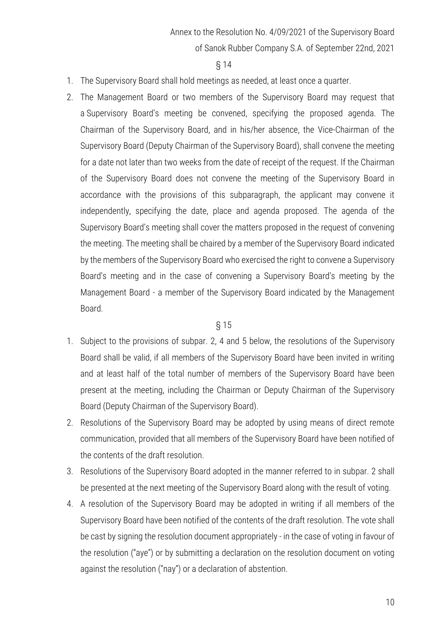#### § 14

- 1. The Supervisory Board shall hold meetings as needed, at least once a quarter.
- 2. The Management Board or two members of the Supervisory Board may request that a Supervisory Board's meeting be convened, specifying the proposed agenda. The Chairman of the Supervisory Board, and in his/her absence, the Vice-Chairman of the Supervisory Board (Deputy Chairman of the Supervisory Board), shall convene the meeting for a date not later than two weeks from the date of receipt of the request. If the Chairman of the Supervisory Board does not convene the meeting of the Supervisory Board in accordance with the provisions of this subparagraph, the applicant may convene it independently, specifying the date, place and agenda proposed. The agenda of the Supervisory Board's meeting shall cover the matters proposed in the request of convening the meeting. The meeting shall be chaired by a member of the Supervisory Board indicated by the members of the Supervisory Board who exercised the right to convene a Supervisory Board's meeting and in the case of convening a Supervisory Board's meeting by the Management Board - a member of the Supervisory Board indicated by the Management Board.

- 1. Subject to the provisions of subpar. 2, 4 and 5 below, the resolutions of the Supervisory Board shall be valid, if all members of the Supervisory Board have been invited in writing and at least half of the total number of members of the Supervisory Board have been present at the meeting, including the Chairman or Deputy Chairman of the Supervisory Board (Deputy Chairman of the Supervisory Board).
- 2. Resolutions of the Supervisory Board may be adopted by using means of direct remote communication, provided that all members of the Supervisory Board have been notified of the contents of the draft resolution.
- 3. Resolutions of the Supervisory Board adopted in the manner referred to in subpar. 2 shall be presented at the next meeting of the Supervisory Board along with the result of voting.
- 4. A resolution of the Supervisory Board may be adopted in writing if all members of the Supervisory Board have been notified of the contents of the draft resolution. The vote shall be cast by signing the resolution document appropriately - in the case of voting in favour of the resolution ("aye") or by submitting a declaration on the resolution document on voting against the resolution ("nay") or a declaration of abstention.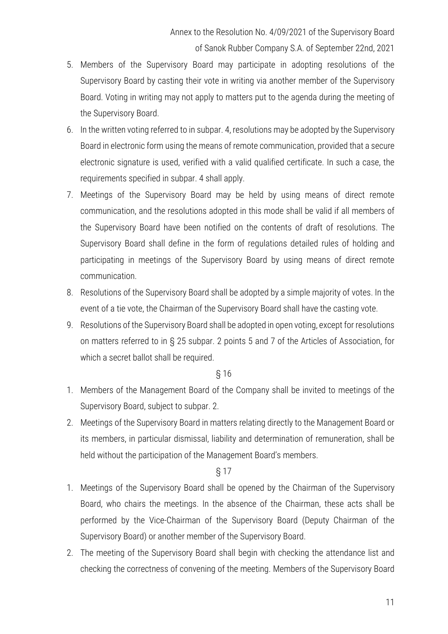- 5. Members of the Supervisory Board may participate in adopting resolutions of the Supervisory Board by casting their vote in writing via another member of the Supervisory Board. Voting in writing may not apply to matters put to the agenda during the meeting of the Supervisory Board.
- 6. In the written voting referred to in subpar. 4, resolutions may be adopted by the Supervisory Board in electronic form using the means of remote communication, provided that a secure electronic signature is used, verified with a valid qualified certificate. In such a case, the requirements specified in subpar. 4 shall apply.
- 7. Meetings of the Supervisory Board may be held by using means of direct remote communication, and the resolutions adopted in this mode shall be valid if all members of the Supervisory Board have been notified on the contents of draft of resolutions. The Supervisory Board shall define in the form of regulations detailed rules of holding and participating in meetings of the Supervisory Board by using means of direct remote communication.
- 8. Resolutions of the Supervisory Board shall be adopted by a simple majority of votes. In the event of a tie vote, the Chairman of the Supervisory Board shall have the casting vote.
- 9. Resolutions of the Supervisory Board shall be adopted in open voting, except for resolutions on matters referred to in § 25 subpar. 2 points 5 and 7 of the Articles of Association, for which a secret ballot shall be required.

- 1. Members of the Management Board of the Company shall be invited to meetings of the Supervisory Board, subject to subpar. 2.
- 2. Meetings of the Supervisory Board in matters relating directly to the Management Board or its members, in particular dismissal, liability and determination of remuneration, shall be held without the participation of the Management Board's members.

- 1. Meetings of the Supervisory Board shall be opened by the Chairman of the Supervisory Board, who chairs the meetings. In the absence of the Chairman, these acts shall be performed by the Vice-Chairman of the Supervisory Board (Deputy Chairman of the Supervisory Board) or another member of the Supervisory Board.
- 2. The meeting of the Supervisory Board shall begin with checking the attendance list and checking the correctness of convening of the meeting. Members of the Supervisory Board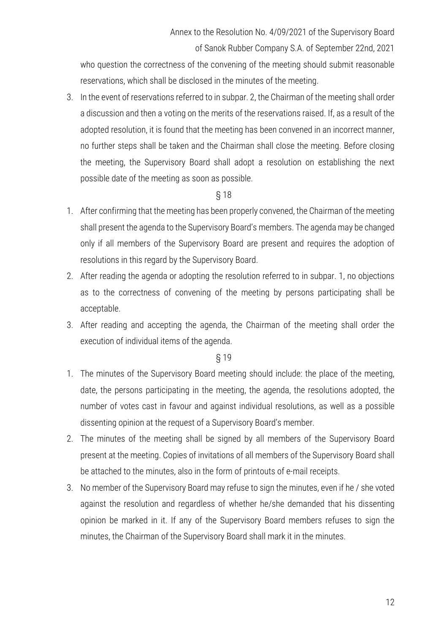who question the correctness of the convening of the meeting should submit reasonable reservations, which shall be disclosed in the minutes of the meeting.

3. In the event of reservations referred to in subpar. 2, the Chairman of the meeting shall order a discussion and then a voting on the merits of the reservations raised. If, as a result of the adopted resolution, it is found that the meeting has been convened in an incorrect manner, no further steps shall be taken and the Chairman shall close the meeting. Before closing the meeting, the Supervisory Board shall adopt a resolution on establishing the next possible date of the meeting as soon as possible.

#### § 18

- 1. After confirming that the meeting has been properly convened, the Chairman of the meeting shall present the agenda to the Supervisory Board's members. The agenda may be changed only if all members of the Supervisory Board are present and requires the adoption of resolutions in this regard by the Supervisory Board.
- 2. After reading the agenda or adopting the resolution referred to in subpar. 1, no objections as to the correctness of convening of the meeting by persons participating shall be acceptable.
- 3. After reading and accepting the agenda, the Chairman of the meeting shall order the execution of individual items of the agenda.

- 1. The minutes of the Supervisory Board meeting should include: the place of the meeting, date, the persons participating in the meeting, the agenda, the resolutions adopted, the number of votes cast in favour and against individual resolutions, as well as a possible dissenting opinion at the request of a Supervisory Board's member.
- 2. The minutes of the meeting shall be signed by all members of the Supervisory Board present at the meeting. Copies of invitations of all members of the Supervisory Board shall be attached to the minutes, also in the form of printouts of e-mail receipts.
- 3. No member of the Supervisory Board may refuse to sign the minutes, even if he / she voted against the resolution and regardless of whether he/she demanded that his dissenting opinion be marked in it. If any of the Supervisory Board members refuses to sign the minutes, the Chairman of the Supervisory Board shall mark it in the minutes.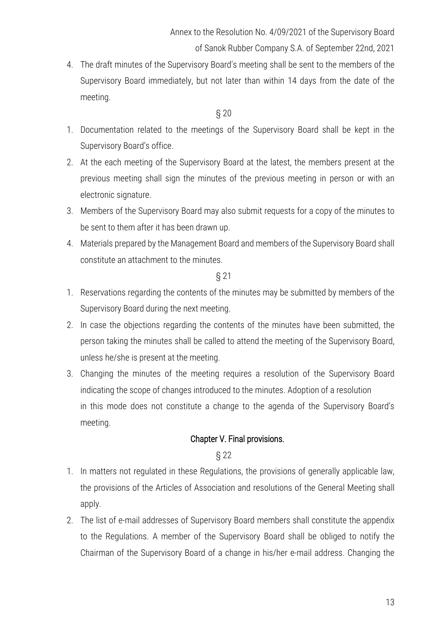4. The draft minutes of the Supervisory Board's meeting shall be sent to the members of the Supervisory Board immediately, but not later than within 14 days from the date of the meeting.

#### § 20

- 1. Documentation related to the meetings of the Supervisory Board shall be kept in the Supervisory Board's office.
- 2. At the each meeting of the Supervisory Board at the latest, the members present at the previous meeting shall sign the minutes of the previous meeting in person or with an electronic signature.
- 3. Members of the Supervisory Board may also submit requests for a copy of the minutes to be sent to them after it has been drawn up.
- 4. Materials prepared by the Management Board and members of the Supervisory Board shall constitute an attachment to the minutes.

§ 21

- 1. Reservations regarding the contents of the minutes may be submitted by members of the Supervisory Board during the next meeting.
- 2. In case the objections regarding the contents of the minutes have been submitted, the person taking the minutes shall be called to attend the meeting of the Supervisory Board, unless he/she is present at the meeting.
- 3. Changing the minutes of the meeting requires a resolution of the Supervisory Board indicating the scope of changes introduced to the minutes. Adoption of a resolution in this mode does not constitute a change to the agenda of the Supervisory Board's meeting.

## Chapter V. Final provisions.

- 1. In matters not regulated in these Regulations, the provisions of generally applicable law, the provisions of the Articles of Association and resolutions of the General Meeting shall apply.
- 2. The list of e-mail addresses of Supervisory Board members shall constitute the appendix to the Regulations. A member of the Supervisory Board shall be obliged to notify the Chairman of the Supervisory Board of a change in his/her e-mail address. Changing the